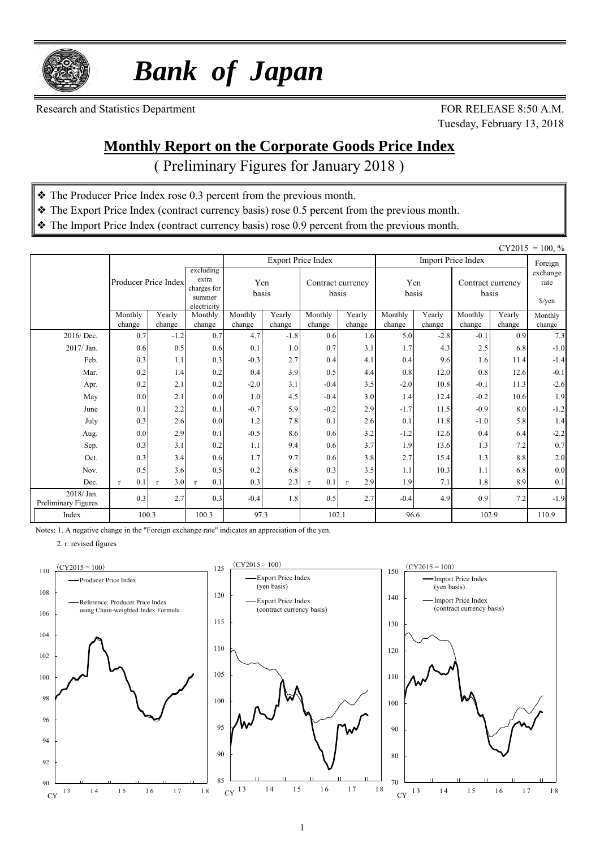

 *Bank of Japan*

Research and Statistics Department FOR RELEASE 8:50 A.M.

Tuesday, February 13, 2018

#### **Monthly Report on the Corporate Goods Price Index**

( Preliminary Figures for January 2018 )

- ❖ The Producer Price Index rose 0.3 percent from the previous month.
- ❖ The Export Price Index (contract currency basis) rose 0.5 percent from the previous month.
- ❖ The Import Price Index (contract currency basis) rose 0.9 percent from the previous month.

| $CY2015 = 100, \%$               |                     |                      |                     |                                            |                  |                            |                     |               |                  |                            |               |                                          |
|----------------------------------|---------------------|----------------------|---------------------|--------------------------------------------|------------------|----------------------------|---------------------|---------------|------------------|----------------------------|---------------|------------------------------------------|
|                                  |                     |                      | excluding           |                                            |                  | <b>Export Price Index</b>  |                     |               |                  | <b>Import Price Index</b>  |               | Foreign                                  |
|                                  |                     | Producer Price Index |                     | Yen<br>charges for<br>basis<br>electricity |                  | Contract currency<br>basis |                     | Yen<br>basis  |                  | Contract currency<br>basis |               | exchange<br>rate<br>$\frac{\sqrt{2}}{2}$ |
|                                  | Monthly             | Yearly               | Monthly             | Monthly                                    | Yearly           | Monthly                    | Yearly              | Monthly       | Yearly           | Monthly                    | Yearly        | Monthly                                  |
| 2016/Dec.                        | change<br>0.7       | change<br>$-1.2$     | change<br>0.7       | change<br>4.7                              | change<br>$-1.8$ | change<br>0.6              | change<br>1.6       | change<br>5.0 | change<br>$-2.8$ | change<br>$-0.1$           | change<br>0.9 | change<br>7.3                            |
| 2017/ Jan.                       | 0.6                 | 0.5                  | 0.6                 | 0.1                                        | 1.0              | 0.7                        | 3.1                 | 1.7           | 4.3              | 2.5                        | 6.8           | $-1.0$                                   |
| Feb.                             | 0.3                 | 1.1                  | 0.3                 | $-0.3$                                     | 2.7              | 0.4                        | 4.1                 | 0.4           | 9.6              | 1.6                        | 11.4          | $-1.4$                                   |
| Mar.                             | 0.2                 | 1.4                  | 0.2                 | 0.4                                        | 3.9              | 0.5                        | 4.4                 | 0.8           | 12.0             | 0.8                        | 12.6          | $-0.1$                                   |
| Apr.                             | 0.2                 | 2.1                  | 0.2                 | $-2.0$                                     | 3.1              | $-0.4$                     | 3.5                 | $-2.0$        | 10.8             | $-0.1$                     | 11.3          | $-2.6$                                   |
| May                              | 0.0                 | 2.1                  | 0.0                 | 1.0                                        | 4.5              | $-0.4$                     | 3.0                 | 1.4           | 12.4             | $-0.2$                     | 10.6          | 1.9                                      |
| June                             | 0.1                 | 2.2                  | 0.1                 | $-0.7$                                     | 5.9              | $-0.2$                     | 2.9                 | $-1.7$        | 11.5             | $-0.9$                     | 8.0           | $-1.2$                                   |
| July                             | 0.3                 | 2.6                  | 0.0                 | 1.2                                        | 7.8              | 0.1                        | 2.6                 | 0.1           | 11.8             | $-1.0$                     | 5.8           | 1.4                                      |
| Aug.                             | 0.0                 | 2.9                  | 0.1                 | $-0.5$                                     | 8.6              | 0.6                        | 3.2                 | $-1.2$        | 12.6             | 0.4                        | 6.4           | $-2.2$                                   |
| Sep.                             | 0.3                 | 3.1                  | 0.2                 | 1.1                                        | 9.4              | 0.6                        | 3.7                 | 1.9           | 13.6             | 1.3                        | 7.2           | 0.7                                      |
| Oct.                             | 0.3                 | 3.4                  | 0.6                 | 1.7                                        | 9.7              | 0.6                        | 3.8                 | 2.7           | 15.4             | 1.3                        | 8.8           | $2.0\,$                                  |
| Nov.                             | 0.5                 | 3.6                  | 0.5                 | 0.2                                        | 6.8              | 0.3                        | 3.5                 | 1.1           | 10.3             | 1.1                        | 6.8           | $0.0\,$                                  |
| Dec.                             | 0.1<br>$\mathbf{r}$ | 3.0<br>$\mathbf{r}$  | 0.1<br>$\mathbf{r}$ | 0.3                                        | 2.3              | 0.1<br>$\mathbf{r}$        | 2.9<br>$\mathbf{r}$ | 1.9           | 7.1              | 1.8                        | 8.9           | 0.1                                      |
| 2018/Jan.<br>Preliminary Figures | 0.3                 | 2.7                  | 0.3                 | $-0.4$                                     | 1.8              | 0.5                        | 2.7                 | $-0.4$        | 4.9              | 0.9                        | 7.2           | $-1.9$                                   |
| Index                            | 100.3               |                      | 100.3               | 97.3<br>102.1                              |                  |                            | 96.6                |               | 102.9            | 110.9                      |               |                                          |

Notes: 1. A negative change in the "Foreign exchange rate" indicates an appreciation of the yen.

2. r: revised figures

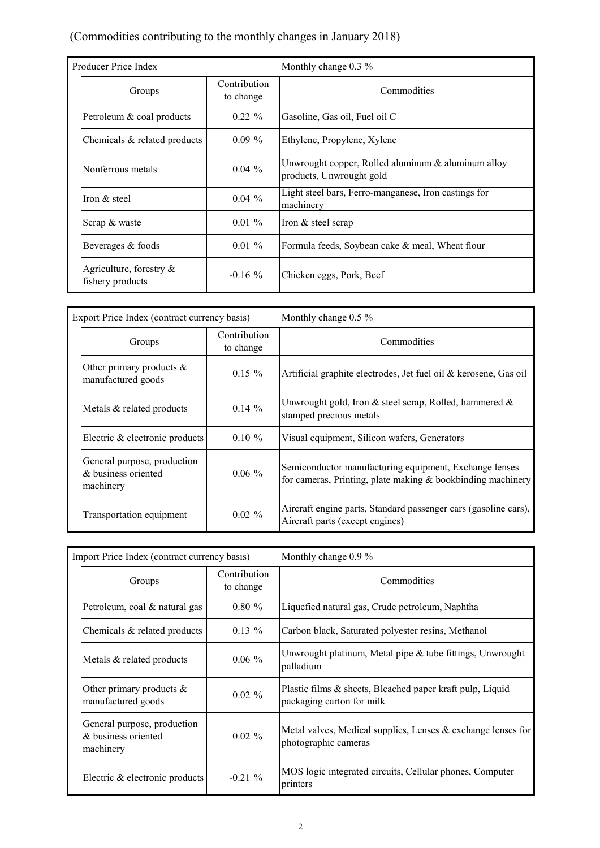#### (Commodities contributing to the monthly changes in January 2018)

| Producer Price Index                           |                           | Monthly change $0.3\%$                                                         |
|------------------------------------------------|---------------------------|--------------------------------------------------------------------------------|
| Groups                                         | Contribution<br>to change | Commodities                                                                    |
| Petroleum & coal products                      | $0.22 \%$                 | Gasoline, Gas oil, Fuel oil C                                                  |
| Chemicals & related products                   | $0.09\%$                  | Ethylene, Propylene, Xylene                                                    |
| Nonferrous metals                              | $0.04\%$                  | Unwrought copper, Rolled aluminum & aluminum alloy<br>products, Unwrought gold |
| Iron & steel                                   | $0.04\%$                  | Light steel bars, Ferro-manganese, Iron castings for<br>machinery              |
| Scrap & waste                                  | $0.01\%$                  | Iron $&$ steel scrap                                                           |
| Beverages & foods                              | $0.01 \%$                 | Formula feeds, Soybean cake & meal, Wheat flour                                |
| Agriculture, forestry $\&$<br>fishery products | $-0.16\%$                 | Chicken eggs, Pork, Beef                                                       |

| Export Price Index (contract currency basis)                    |                           | Monthly change 0.5 %                                                                                                  |  |  |  |  |  |
|-----------------------------------------------------------------|---------------------------|-----------------------------------------------------------------------------------------------------------------------|--|--|--|--|--|
| Groups                                                          | Contribution<br>to change | Commodities                                                                                                           |  |  |  |  |  |
| Other primary products $\&$<br>manufactured goods               | $0.15 \%$                 | Artificial graphite electrodes, Jet fuel oil & kerosene, Gas oil                                                      |  |  |  |  |  |
| Metals & related products                                       | $0.14 \%$                 | Unwrought gold, Iron & steel scrap, Rolled, hammered &<br>stamped precious metals                                     |  |  |  |  |  |
| Electric & electronic products                                  | $0.10 \%$                 | Visual equipment, Silicon wafers, Generators                                                                          |  |  |  |  |  |
| General purpose, production<br>& business oriented<br>machinery | $0.06 \%$                 | Semiconductor manufacturing equipment, Exchange lenses<br>for cameras, Printing, plate making & bookbinding machinery |  |  |  |  |  |
| Transportation equipment                                        | $0.02 \%$                 | Aircraft engine parts, Standard passenger cars (gasoline cars),<br>Aircraft parts (except engines)                    |  |  |  |  |  |

| Import Price Index (contract currency basis)                    |                                  | Monthly change 0.9 %                                                                   |
|-----------------------------------------------------------------|----------------------------------|----------------------------------------------------------------------------------------|
| Groups                                                          | <b>Contribution</b><br>to change | Commodities                                                                            |
| Petroleum, coal & natural gas                                   | $0.80 \%$                        | Liquefied natural gas, Crude petroleum, Naphtha                                        |
| Chemicals & related products                                    | $0.13\%$                         | Carbon black, Saturated polyester resins, Methanol                                     |
| Metals & related products                                       | $0.06 \%$                        | Unwrought platinum, Metal pipe $\&$ tube fittings, Unwrought<br>palladium              |
| Other primary products $\&$<br>manufactured goods               | $0.02 \%$                        | Plastic films & sheets, Bleached paper kraft pulp, Liquid<br>packaging carton for milk |
| General purpose, production<br>& business oriented<br>machinery | $0.02 \%$                        | Metal valves, Medical supplies, Lenses $&$ exchange lenses for<br>photographic cameras |
| Electric & electronic products                                  | $-0.21\%$                        | MOS logic integrated circuits, Cellular phones, Computer<br>printers                   |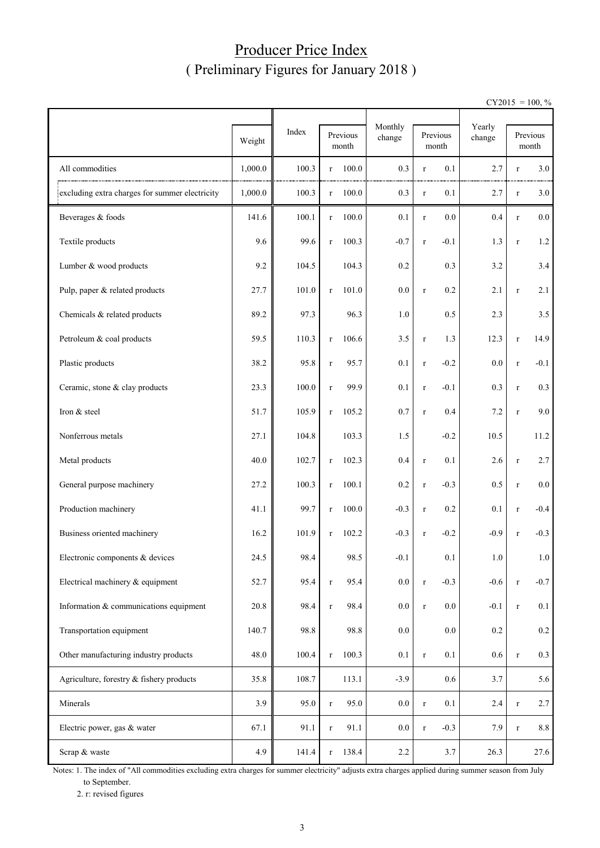## Producer Price Index ( Preliminary Figures for January 2018 )

 $CY2015 = 100, \%$ 

|                                                |         |       |                   |       |                   |             | Yearly            |         |             |                   |
|------------------------------------------------|---------|-------|-------------------|-------|-------------------|-------------|-------------------|---------|-------------|-------------------|
|                                                | Weight  | Index | Previous<br>month |       | Monthly<br>change |             | Previous<br>month | change  |             | Previous<br>month |
| All commodities                                | 1,000.0 | 100.3 | $\mathbf r$       | 100.0 | 0.3               | $\mathbf r$ | 0.1               | 2.7     | $\mathbf r$ | 3.0               |
| excluding extra charges for summer electricity | 1,000.0 | 100.3 | $\mathbf r$       | 100.0 | 0.3               | $\mathbf r$ | 0.1               | 2.7     | $\mathbf r$ | 3.0               |
| Beverages & foods                              | 141.6   | 100.1 | $\Gamma$          | 100.0 | 0.1               | $\mathbf r$ | 0.0               | 0.4     | $\mathbf r$ | $0.0\,$           |
| Textile products                               | 9.6     | 99.6  | $\mathbf r$       | 100.3 | $-0.7$            | $\, r$      | $-0.1$            | 1.3     | $\mathbf r$ | $1.2\,$           |
| Lumber & wood products                         | 9.2     | 104.5 |                   | 104.3 | 0.2               |             | 0.3               | 3.2     |             | 3.4               |
| Pulp, paper & related products                 | 27.7    | 101.0 | $\mathbf r$       | 101.0 | 0.0               | $\mathbf r$ | 0.2               | 2.1     | $\mathbf r$ | 2.1               |
| Chemicals & related products                   | 89.2    | 97.3  |                   | 96.3  | 1.0               |             | 0.5               | 2.3     |             | 3.5               |
| Petroleum & coal products                      | 59.5    | 110.3 | $\mathbf r$       | 106.6 | 3.5               | $\mathbf r$ | 1.3               | 12.3    | $\mathbf r$ | 14.9              |
| Plastic products                               | 38.2    | 95.8  | $\mathbf r$       | 95.7  | 0.1               | $\mathbf r$ | $-0.2$            | 0.0     | $\mathbf r$ | $-0.1$            |
| Ceramic, stone & clay products                 | 23.3    | 100.0 | $\mathbf r$       | 99.9  | 0.1               | $\mathbf r$ | $-0.1$            | 0.3     | $\mathbf r$ | 0.3               |
| Iron & steel                                   | 51.7    | 105.9 | $\Gamma$          | 105.2 | 0.7               | $\mathbf r$ | 0.4               | 7.2     | $\mathbf r$ | 9.0               |
| Nonferrous metals                              | 27.1    | 104.8 |                   | 103.3 | 1.5               |             | $-0.2$            | 10.5    |             | 11.2              |
| Metal products                                 | 40.0    | 102.7 | $\mathbf r$       | 102.3 | 0.4               | $\mathbf r$ | 0.1               | 2.6     | $\mathbf r$ | 2.7               |
| General purpose machinery                      | 27.2    | 100.3 | $\mathbf r$       | 100.1 | 0.2               | $\mathbf r$ | $-0.3$            | 0.5     | $\mathbf r$ | $0.0\,$           |
| Production machinery                           | 41.1    | 99.7  | $\mathbf r$       | 100.0 | $-0.3$            | $\mathbf r$ | 0.2               | 0.1     | $\mathbf r$ | $-0.4$            |
| Business oriented machinery                    | 16.2    | 101.9 | $\mathbf{r}$      | 102.2 | $-0.3$            | $\mathbf r$ | $-0.2$            | $-0.9$  | $\mathbf r$ | $-0.3$            |
| Electronic components & devices                | 24.5    | 98.4  |                   | 98.5  | $-0.1$            |             | 0.1               | 1.0     |             | 1.0               |
| Electrical machinery & equipment               | 52.7    | 95.4  | $\mathbf r$       | 95.4  | 0.0               | $\mathbf r$ | $-0.3$            | $-0.6$  | $\mathbf r$ | $-0.7$            |
| Information & communications equipment         | 20.8    | 98.4  | $\mathbf r$       | 98.4  | 0.0               | $\mathbf r$ | $0.0\,$           | $-0.1$  | $\mathbf r$ | 0.1               |
| Transportation equipment                       | 140.7   | 98.8  |                   | 98.8  | $0.0\,$           |             | 0.0               | $0.2\,$ |             | $0.2\,$           |
| Other manufacturing industry products          | 48.0    | 100.4 | $\mathbf r$       | 100.3 | 0.1               | $\mathbf r$ | 0.1               | 0.6     | $\mathbf r$ | 0.3               |
| Agriculture, forestry & fishery products       | 35.8    | 108.7 |                   | 113.1 | $-3.9$            |             | $0.6\,$           | 3.7     |             | 5.6               |
| Minerals                                       | 3.9     | 95.0  | $\mathbf r$       | 95.0  | $0.0\,$           | $\mathbf r$ | 0.1               | 2.4     | $\mathbf r$ | 2.7               |
| Electric power, gas & water                    | 67.1    | 91.1  | $\mathbf r$       | 91.1  | $0.0\,$           | $\mathbf r$ | $-0.3$            | 7.9     | $\mathbf r$ | $8.8\,$           |
| Scrap & waste                                  | 4.9     | 141.4 | $\mathbf r$       | 138.4 | $2.2\,$           |             | 3.7               | 26.3    |             | 27.6              |

Notes: 1. The index of "All commodities excluding extra charges for summer electricity" adjusts extra charges applied during summer season from July to September.

2. r: revised figures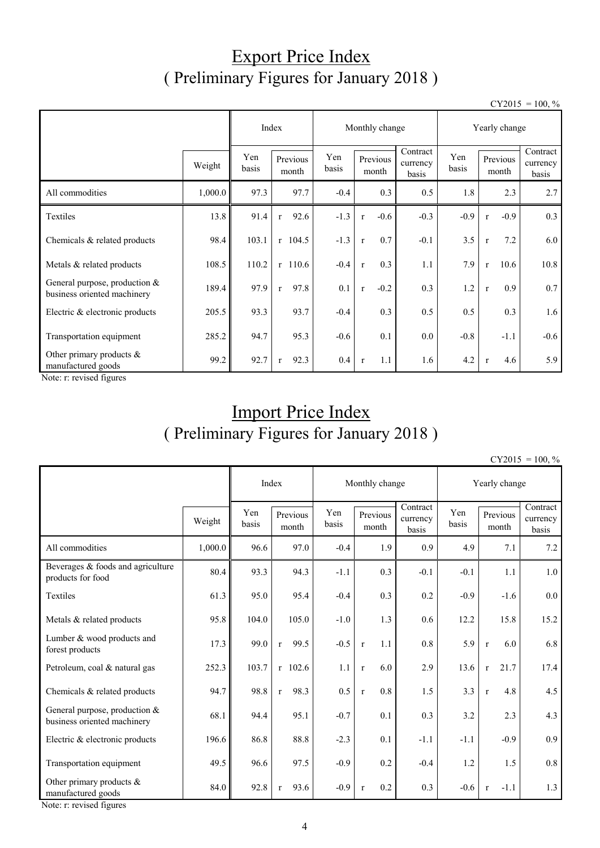## Export Price Index ( Preliminary Figures for January 2018 )

 $CY2015 = 100, \%$ 

|                                                                                                                                                                                                                                                                                                                                                                                                                    |         |              |                      |              | Monthly change         |                               | Yearly change |                        |                               |  |
|--------------------------------------------------------------------------------------------------------------------------------------------------------------------------------------------------------------------------------------------------------------------------------------------------------------------------------------------------------------------------------------------------------------------|---------|--------------|----------------------|--------------|------------------------|-------------------------------|---------------|------------------------|-------------------------------|--|
|                                                                                                                                                                                                                                                                                                                                                                                                                    | Weight  | Yen<br>basis | Previous<br>month    | Yen<br>basis | Previous<br>month      | Contract<br>currency<br>basis | Yen<br>basis  | Previous<br>month      | Contract<br>currency<br>basis |  |
| All commodities                                                                                                                                                                                                                                                                                                                                                                                                    | 1,000.0 | 97.3         | 97.7                 | $-0.4$       | 0.3                    | 0.5                           | 1.8           | 2.3                    | 2.7                           |  |
| Textiles                                                                                                                                                                                                                                                                                                                                                                                                           | 13.8    | 91.4         | 92.6<br>$\mathbf{r}$ | $-1.3$       | $-0.6$<br>$\mathbf{r}$ | $-0.3$                        | $-0.9$        | $-0.9$<br>$\mathbf{r}$ | 0.3                           |  |
| Chemicals & related products                                                                                                                                                                                                                                                                                                                                                                                       | 98.4    | 103.1        | $r$ 104.5            | $-1.3$       | 0.7<br>$\mathbf{r}$    | $-0.1$                        | 3.5           | 7.2<br>$\mathbf{r}$    | 6.0                           |  |
| Metals & related products                                                                                                                                                                                                                                                                                                                                                                                          | 108.5   | 110.2        | $r$ 110.6            | $-0.4$       | 0.3<br>$\mathbf{r}$    | 1.1                           | 7.9           | 10.6<br>$\mathbf{r}$   | 10.8                          |  |
| General purpose, production $&$<br>business oriented machinery                                                                                                                                                                                                                                                                                                                                                     | 189.4   | 97.9         | 97.8<br>$\mathbf{r}$ | 0.1          | $-0.2$<br>$\mathbf{r}$ | 0.3                           | 1.2           | 0.9<br>$\mathbf{r}$    | 0.7                           |  |
| Electric & electronic products                                                                                                                                                                                                                                                                                                                                                                                     | 205.5   | 93.3         | 93.7                 | $-0.4$       | 0.3                    | 0.5                           | 0.5           | 0.3                    | 1.6                           |  |
| Transportation equipment                                                                                                                                                                                                                                                                                                                                                                                           | 285.2   | 94.7         | 95.3                 | $-0.6$       | 0.1                    | $0.0\,$                       | $-0.8$        | $-1.1$                 | $-0.6$                        |  |
| Other primary products $\&$<br>manufactured goods<br>$\mathbf{X}$ $\mathbf{Y}$ $\mathbf{Y}$ $\mathbf{Y}$ $\mathbf{Y}$ $\mathbf{Y}$ $\mathbf{Y}$ $\mathbf{Y}$ $\mathbf{Y}$ $\mathbf{Y}$ $\mathbf{Y}$ $\mathbf{Y}$ $\mathbf{Y}$ $\mathbf{Y}$ $\mathbf{Y}$ $\mathbf{Y}$ $\mathbf{Y}$ $\mathbf{Y}$ $\mathbf{Y}$ $\mathbf{Y}$ $\mathbf{Y}$ $\mathbf{Y}$ $\mathbf{Y}$ $\mathbf{Y}$ $\mathbf{$<br>$\cdot$ $\cdot$ $\cdot$ | 99.2    | 92.7         | 92.3<br>$\mathbf{r}$ | 0.4          | 1.1<br>$\mathbf{r}$    | 1.6                           | 4.2           | 4.6<br>$\mathbf{r}$    | 5.9                           |  |

Note: r: revised figures

# Import Price Index ( Preliminary Figures for January 2018 )

 $CY2015 = 100, \%$ 

|                                                                | Index   |              | Monthly change       | Yearly change |                     |                               |              |              |                   |                               |
|----------------------------------------------------------------|---------|--------------|----------------------|---------------|---------------------|-------------------------------|--------------|--------------|-------------------|-------------------------------|
|                                                                | Weight  | Yen<br>basis | Previous<br>month    | Yen<br>basis  | Previous<br>month   | Contract<br>currency<br>basis | Yen<br>basis |              | Previous<br>month | Contract<br>currency<br>basis |
| All commodities                                                | 1,000.0 | 96.6         | 97.0                 | $-0.4$        | 1.9                 | 0.9                           | 4.9          |              | 7.1               | 7.2                           |
| Beverages $&$ foods and agriculture<br>products for food       | 80.4    | 93.3         | 94.3                 | $-1.1$        | 0.3                 | $-0.1$                        | $-0.1$       |              | 1.1               | 1.0                           |
| <b>Textiles</b>                                                | 61.3    | 95.0         | 95.4                 | $-0.4$        | 0.3                 | 0.2                           | $-0.9$       |              | $-1.6$            | 0.0                           |
| Metals & related products                                      | 95.8    | 104.0        | 105.0                | $-1.0$        | 1.3                 | 0.6                           | 12.2         |              | 15.8              | 15.2                          |
| Lumber & wood products and<br>forest products                  | 17.3    | 99.0         | 99.5<br>$\mathbf r$  | $-0.5$        | 1.1<br>$\mathbf{r}$ | 0.8                           | 5.9          | $\mathbf{r}$ | 6.0               | 6.8                           |
| Petroleum, coal & natural gas                                  | 252.3   | 103.7        | $r$ 102.6            | 1.1           | 6.0<br>$\mathbf{r}$ | 2.9                           | 13.6         | $\mathbf{r}$ | 21.7              | 17.4                          |
| Chemicals & related products                                   | 94.7    | 98.8         | 98.3<br>$\mathbf{r}$ | 0.5           | 0.8<br>$\mathbf{r}$ | 1.5                           | 3.3          | $\mathbf r$  | 4.8               | 4.5                           |
| General purpose, production $&$<br>business oriented machinery | 68.1    | 94.4         | 95.1                 | $-0.7$        | 0.1                 | 0.3                           | 3.2          |              | 2.3               | 4.3                           |
| Electric & electronic products                                 | 196.6   | 86.8         | 88.8                 | $-2.3$        | 0.1                 | $-1.1$                        | $-1.1$       |              | $-0.9$            | 0.9                           |
| Transportation equipment                                       | 49.5    | 96.6         | 97.5                 | $-0.9$        | 0.2                 | $-0.4$                        | 1.2          |              | 1.5               | 0.8                           |
| Other primary products $\&$<br>manufactured goods              | 84.0    | 92.8         | 93.6<br>$\mathbf{r}$ | $-0.9$        | 0.2<br>$\mathbf{r}$ | 0.3                           | $-0.6$       | $\mathbf{r}$ | $-1.1$            | 1.3                           |

Note: r: revised figures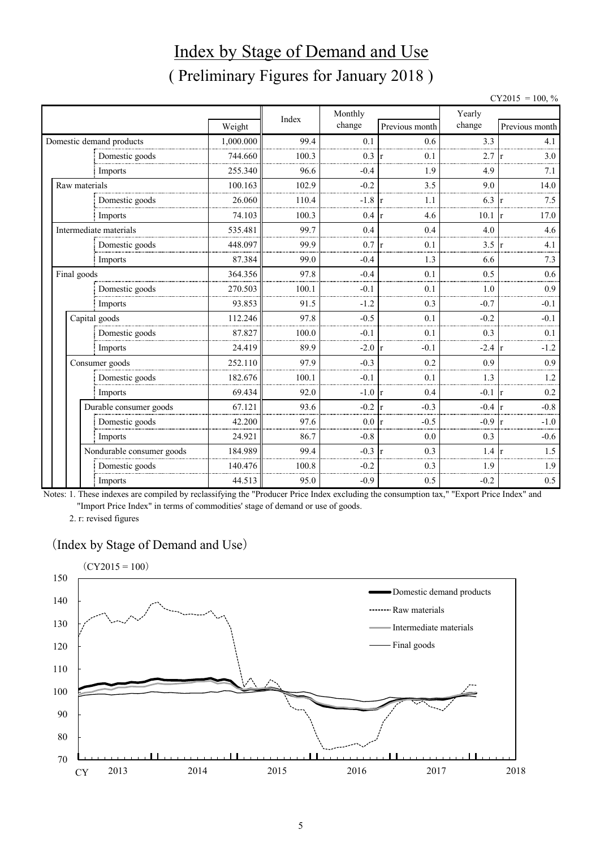# Index by Stage of Demand and Use ( Preliminary Figures for January 2018 )

|               |                           |           |       |         |                |        | $CY2015 = 100, \%$ |
|---------------|---------------------------|-----------|-------|---------|----------------|--------|--------------------|
|               |                           |           | Index | Monthly |                | Yearly |                    |
|               |                           | Weight    |       | change  | Previous month | change | Previous month     |
|               | Domestic demand products  | 1,000.000 | 99.4  | 0.1     | 0.6            | 3.3    | 4.1                |
|               | Domestic goods            | 744.660   | 100.3 | 0.3     | 0.1            | 2.7    | 3.0                |
|               | Imports                   | 255.340   | 96.6  | $-0.4$  | 1.9            | 4.9    | 7.1                |
| Raw materials |                           | 100.163   | 102.9 | $-0.2$  | 3.5            | 9.0    | 14.0               |
|               | Domestic goods            | 26.060    | 110.4 | $-1.8$  | 1.1            | 6.3    | 7.5                |
|               | Imports                   | 74.103    | 100.3 | 0.4     | 4.6            | 10.1   | 17.0               |
|               | Intermediate materials    | 535.481   | 99.7  | 0.4     | 0.4            | 4.0    | 4.6                |
|               | Domestic goods            | 448.097   | 99.9  | 0.7     | 0.1            | 3.5    | 4.1                |
|               | Imports                   | 87.384    | 99.0  | $-0.4$  | 1.3            | 6.6    | 7.3                |
| Final goods   |                           | 364.356   | 97.8  | $-0.4$  | 0.1            | 0.5    | 0.6                |
|               | Domestic goods            | 270.503   | 100.1 | $-0.1$  | 0.1            | 1.0    | 0.9                |
|               | Imports                   | 93.853    | 91.5  | $-1.2$  | 0.3            | $-0.7$ | $-0.1$             |
|               | Capital goods             | 112.246   | 97.8  | $-0.5$  | 0.1            | $-0.2$ | $-0.1$             |
|               | Domestic goods            | 87.827    | 100.0 | $-0.1$  | 0.1            | 0.3    | 0.1                |
|               | Imports                   | 24.419    | 89.9  | $-2.0$  | $-0.1$         | $-2.4$ | $-1.2$             |
|               | Consumer goods            | 252.110   | 97.9  | $-0.3$  | 0.2            | 0.9    | 0.9                |
|               | Domestic goods            | 182.676   | 100.1 | $-0.1$  | 0.1            | 1.3    | 1.2                |
|               | Imports                   | 69.434    | 92.0  | $-1.0$  | 0.4            | $-0.1$ | 0.2                |
|               | Durable consumer goods    | 67.121    | 93.6  | $-0.2$  | $-0.3$         | $-0.4$ | $-0.8$             |
|               | Domestic goods            | 42.200    | 97.6  | 0.0     | $-0.5$         | $-0.9$ | $-1.0$             |
|               | Imports                   | 24.921    | 86.7  | $-0.8$  | 0.0            | 0.3    | $-0.6$             |
|               | Nondurable consumer goods | 184.989   | 99.4  | $-0.3$  | 0.3<br>l r     | 1.4    | 1.5                |
|               | Domestic goods            | 140.476   | 100.8 | $-0.2$  | 0.3            | 1.9    | 1.9                |
|               | Imports                   | 44.513    | 95.0  | $-0.9$  | 0.5            | $-0.2$ | 0.5                |

Notes: 1. These indexes are compiled by reclassifying the "Producer Price Index excluding the consumption tax," "Export Price Index" and "Import Price Index" in terms of commodities' stage of demand or use of goods.

2. r: revised figures

#### (Index by Stage of Demand and Use)

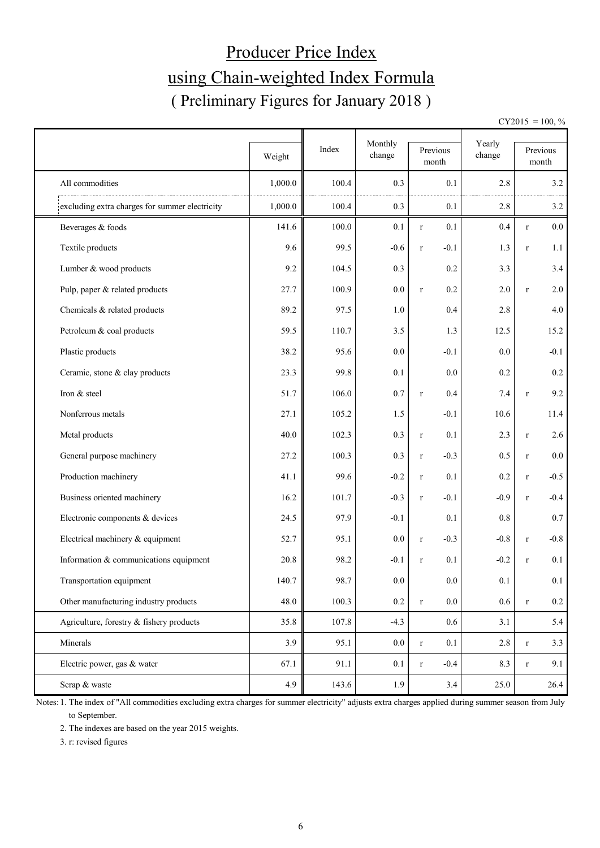# Producer Price Index using Chain-weighted Index Formula ( Preliminary Figures for January 2018 )

 $CY2015 = 100, \%$ 

|                                                | Weight  | Index | Monthly<br>change |             | Previous<br>month | Yearly<br>change |              | Previous<br>month |
|------------------------------------------------|---------|-------|-------------------|-------------|-------------------|------------------|--------------|-------------------|
| All commodities                                | 1,000.0 | 100.4 | 0.3               |             | 0.1               | 2.8              |              | 3.2               |
| excluding extra charges for summer electricity | 1,000.0 | 100.4 | 0.3               |             | 0.1               | 2.8              |              | 3.2               |
| Beverages & foods                              | 141.6   | 100.0 | 0.1               | $\mathbf r$ | 0.1               | 0.4              | $\mathbf r$  | $0.0\,$           |
| Textile products                               | 9.6     | 99.5  | $-0.6$            | $\mathbf r$ | $-0.1$            | 1.3              | $\mathbf r$  | 1.1               |
| Lumber & wood products                         | 9.2     | 104.5 | 0.3               |             | 0.2               | 3.3              |              | 3.4               |
| Pulp, paper & related products                 | 27.7    | 100.9 | 0.0               | $\mathbf r$ | 0.2               | $2.0\,$          | $\mathbf r$  | 2.0               |
| Chemicals & related products                   | 89.2    | 97.5  | 1.0               |             | 0.4               | 2.8              |              | 4.0               |
| Petroleum & coal products                      | 59.5    | 110.7 | 3.5               |             | 1.3               | 12.5             |              | 15.2              |
| Plastic products                               | 38.2    | 95.6  | 0.0               |             | $-0.1$            | 0.0              |              | $-0.1$            |
| Ceramic, stone & clay products                 | 23.3    | 99.8  | 0.1               |             | 0.0               | 0.2              |              | 0.2               |
| Iron & steel                                   | 51.7    | 106.0 | 0.7               | $\mathbf r$ | 0.4               | 7.4              | $\mathbf r$  | 9.2               |
| Nonferrous metals                              | 27.1    | 105.2 | 1.5               |             | $-0.1$            | 10.6             |              | 11.4              |
| Metal products                                 | 40.0    | 102.3 | 0.3               | $\mathbf r$ | 0.1               | 2.3              | $\mathbf r$  | 2.6               |
| General purpose machinery                      | 27.2    | 100.3 | 0.3               | $\mathbf r$ | $-0.3$            | 0.5              | $\mathbf r$  | $0.0\,$           |
| Production machinery                           | 41.1    | 99.6  | $-0.2$            | $\mathbf r$ | 0.1               | 0.2              | $\mathbf r$  | $-0.5$            |
| Business oriented machinery                    | 16.2    | 101.7 | $-0.3$            | $\mathbf r$ | $-0.1$            | $-0.9$           | $\mathbf r$  | $-0.4$            |
| Electronic components & devices                | 24.5    | 97.9  | $-0.1$            |             | 0.1               | $0.8\,$          |              | 0.7               |
| Electrical machinery & equipment               | 52.7    | 95.1  | 0.0               | $\mathbf r$ | $-0.3$            | $-0.8$           | $\mathbf r$  | $-0.8$            |
| Information & communications equipment         | 20.8    | 98.2  | $-0.1$            | $\mathbf r$ | 0.1               | $-0.2$           | $\mathbf{r}$ | 0.1               |
| Transportation equipment                       | 140.7   | 98.7  | $0.0\,$           |             | 0.0               | 0.1              |              | 0.1               |
| Other manufacturing industry products          | 48.0    | 100.3 | $0.2\,$           | $\mathbf r$ | $0.0\,$           | 0.6              | $\mathbf r$  | $0.2\,$           |
| Agriculture, forestry & fishery products       | 35.8    | 107.8 | $-4.3$            |             | $0.6\,$           | 3.1              |              | 5.4               |
| Minerals                                       | 3.9     | 95.1  | 0.0               | $\mathbf r$ | 0.1               | 2.8              | $\mathbf r$  | 3.3               |
| Electric power, gas & water                    | 67.1    | 91.1  | 0.1               | $\mathbf r$ | $-0.4$            | 8.3              | $\mathbf r$  | 9.1               |
| Scrap & waste                                  | 4.9     | 143.6 | 1.9               |             | 3.4               | 25.0             |              | 26.4              |

Notes: 1. The index of "All commodities excluding extra charges for summer electricity" adjusts extra charges applied during summer season from July to September.

2. The indexes are based on the year 2015 weights.

3. r: revised figures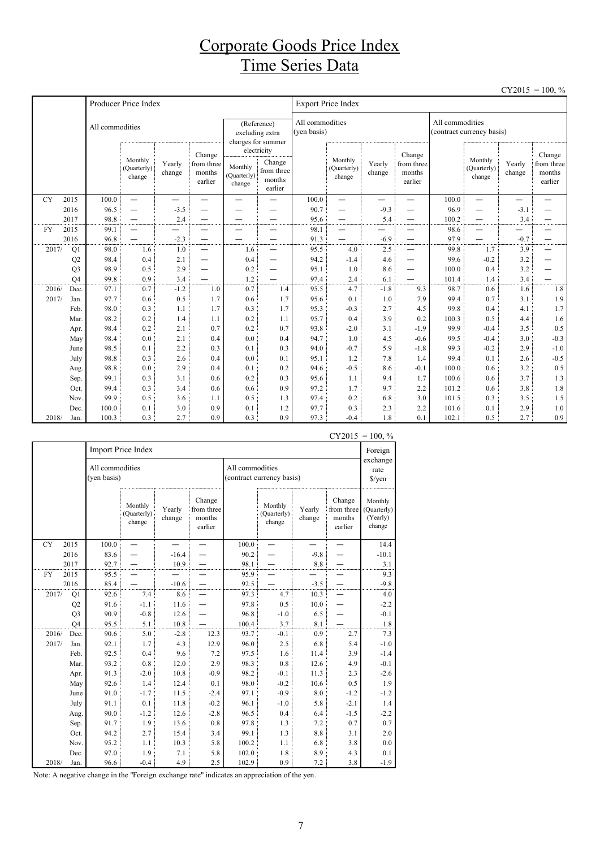## Corporate Goods Price Index Time Series Data

|           |                |                 |                                  |                  |                                           |                                  |                                                          |                                |                                  |                                                               |        |                 |                                  | C12013           | $-100, 70$                                |  |
|-----------|----------------|-----------------|----------------------------------|------------------|-------------------------------------------|----------------------------------|----------------------------------------------------------|--------------------------------|----------------------------------|---------------------------------------------------------------|--------|-----------------|----------------------------------|------------------|-------------------------------------------|--|
|           |                |                 | Producer Price Index             |                  |                                           |                                  |                                                          | <b>Export Price Index</b>      |                                  |                                                               |        |                 |                                  |                  |                                           |  |
|           |                | All commodities |                                  |                  |                                           |                                  | (Reference)<br>excluding extra<br>charges for summer     | All commodities<br>(ven basis) |                                  |                                                               |        | All commodities | (contract currency basis)        |                  |                                           |  |
|           |                |                 | Monthly<br>(Quarterly)<br>change | Yearly<br>change | Change<br>from three<br>months<br>earlier | Monthly<br>(Quarterly)<br>change | electricity<br>Change<br>from three<br>months<br>earlier |                                | Monthly<br>(Quarterly)<br>change | Change<br>Yearly<br>from three<br>months<br>change<br>earlier |        |                 | Monthly<br>(Quarterly)<br>change | Yearly<br>change | Change<br>from three<br>months<br>earlier |  |
| <b>CY</b> | 2015           | 100.0           | $\equiv$                         | —                | —<br>—                                    | $\overline{\phantom{a}}$         |                                                          | 100.0                          | $\overline{\phantom{0}}$         | $\overline{\phantom{0}}$                                      | —<br>— | 100.0           | $\equiv$                         | —                |                                           |  |
|           | 2016           | 96.5            | $\overline{\phantom{0}}$         | $-3.5$           |                                           |                                  |                                                          | 90.7                           |                                  | $-9.3$                                                        |        | 96.9            | —                                | $-3.1$           |                                           |  |
|           | 2017           | 98.8            | $\overline{\phantom{0}}$         | 2.4              |                                           |                                  |                                                          | 95.6                           | —                                | 5.4                                                           |        | 100.2           | —                                | 3.4              |                                           |  |
| <b>FY</b> | 2015           | 99.1            | $\overline{\phantom{0}}$         | —                | -                                         |                                  | $\overline{\phantom{0}}$                                 | 98.1                           | —                                | —                                                             |        | 98.6            | —                                | —                |                                           |  |
|           | 2016           | 96.8            |                                  | $-2.3$           |                                           |                                  |                                                          | 91.3                           |                                  | $-6.9$                                                        | -      | 97.9            |                                  | $-0.7$           |                                           |  |
| 2017/     | Q1             | 98.0            | 1.6                              | 1.0              | —                                         | 1.6                              | $\overline{\phantom{0}}$                                 | 95.5                           | 4.0                              | 2.5                                                           | -      | 99.8            | 1.7                              | 3.9              |                                           |  |
|           | Q2             | 98.4            | 0.4                              | 2.1              | —                                         | 0.4                              | $\overline{\phantom{0}}$                                 | 94.2                           | $-1.4$                           | 4.6                                                           |        | 99.6            | $-0.2$                           | 3.2              |                                           |  |
|           | Q <sub>3</sub> | 98.9            | 0.5                              | 2.9              |                                           | 0.2                              |                                                          | 95.1                           | 1.0                              | 8.6                                                           |        | 100.0           | 0.4                              | 3.2              |                                           |  |
|           | O <sub>4</sub> | 99.8            | 0.9                              | 3.4              |                                           | 1.2                              |                                                          | 97.4                           | 2.4                              | 6.1                                                           |        | 101.4           | 1.4                              | 3.4              |                                           |  |
| 2016/     | Dec.           | 97.1            | 0.7                              | $-1.2$           | 1.0                                       | 0.7                              | 1.4                                                      | 95.5                           | 4.7                              | $-1.8$                                                        | 9.3    | 98.7            | 0.6                              | 1.6              | 1.8                                       |  |
| 2017/     | Jan.           | 97.7            | 0.6                              | 0.5              | 1.7                                       | 0.6                              | 1.7                                                      | 95.6                           | 0.1                              | 1.0                                                           | 7.9    | 99.4            | 0.7                              | 3.1              | 1.9                                       |  |
|           | Feb.           | 98.0            | 0.3                              | 1.1              | 1.7                                       | 0.3                              | 1.7                                                      | 95.3                           | $-0.3$                           | 2.7                                                           | 4.5    | 99.8            | 0.4                              | 4.1              | 1.7                                       |  |
|           | Mar.           | 98.2            | 0.2                              | 1.4              | 1.1                                       | 0.2                              | 1.1                                                      | 95.7                           | 0.4                              | 3.9                                                           | 0.2    | 100.3           | 0.5                              | 4.4              | 1.6                                       |  |
|           | Apr.           | 98.4            | 0.2                              | 2.1              | 0.7                                       | 0.2                              | 0.7                                                      | 93.8                           | $-2.0$                           | 3.1                                                           | $-1.9$ | 99.9            | $-0.4$                           | 3.5              | 0.5                                       |  |
|           | May            | 98.4            | 0.0                              | 2.1              | 0.4                                       | 0.0                              | 0.4                                                      | 94.7                           | 1.0                              | 4.5                                                           | $-0.6$ | 99.5            | $-0.4$                           | 3.0              | $-0.3$                                    |  |
|           | June           | 98.5            | 0.1                              | 2.2              | 0.3                                       | 0.1                              | 0.3                                                      | 94.0                           | $-0.7$                           | 5.9                                                           | $-1.8$ | 99.3            | $-0.2$                           | 2.9              | $-1.0$                                    |  |
|           | July           | 98.8            | 0.3                              | 2.6              | 0.4                                       | 0.0                              | 0.1                                                      | 95.1                           | 1.2                              | 7.8                                                           | 1.4    | 99.4            | 0.1                              | 2.6              | $-0.5$                                    |  |
|           | Aug.           | 98.8            | 0.0                              | 2.9              | 0.4                                       | 0.1                              | 0.2                                                      | 94.6                           | $-0.5$                           | 8.6                                                           | $-0.1$ | 100.0           | 0.6                              | 3.2              | 0.5                                       |  |
|           | Sep.           | 99.1            | 0.3                              | 3.1              | 0.6                                       | 0.2                              | 0.3                                                      | 95.6                           | 1.1                              | 9.4                                                           | 1.7    | 100.6           | 0.6                              | 3.7              | 1.3                                       |  |
|           | Oct.           | 99.4            | 0.3                              | 3.4              | 0.6                                       | 0.6                              | 0.9                                                      | 97.2                           | 1.7                              | 9.7                                                           | 2.2    | 101.2           | 0.6                              | 3.8              | 1.8                                       |  |
|           | Nov.           | 99.9            | 0.5                              | 3.6              | 1.1                                       | 0.5                              | 1.3                                                      | 97.4                           | 0.2                              | 6.8                                                           | 3.0    | 101.5           | 0.3                              | 3.5              | 1.5                                       |  |
|           | Dec.           | 100.0           | 0.1                              | 3.0              | 0.9                                       | 0.1                              | 1.2                                                      | 97.7                           | 0.3                              | 2.3                                                           | 2.2    | 101.6           | 0.1                              | 2.9              | 1.0                                       |  |
| 2018/     | Jan.           | 100.3           | 0.3                              | 2.7              | 0.9                                       | 0.3                              | 0.9                                                      | 97.3                           | $-0.4$                           | 1.8                                                           | 0.1    | 102.1           | 0.5                              | 2.7              | 0.9                                       |  |

|           |                |                                |                                  |                  |                                           |                                              |                                  |                            |                                           | $CY2015 = 100, \%$                           |
|-----------|----------------|--------------------------------|----------------------------------|------------------|-------------------------------------------|----------------------------------------------|----------------------------------|----------------------------|-------------------------------------------|----------------------------------------------|
|           |                |                                | Import Price Index               |                  |                                           |                                              |                                  |                            |                                           | Foreign                                      |
|           |                | All commodities<br>(yen basis) |                                  |                  |                                           | All commodities<br>(contract currency basis) |                                  | exchange<br>rate<br>\$/yen |                                           |                                              |
|           |                |                                | Monthly<br>(Quarterly)<br>change | Yearly<br>change | Change<br>from three<br>months<br>earlier |                                              | Monthly<br>(Quarterly)<br>change | Yearly<br>change           | Change<br>from three<br>months<br>earlier | Monthly<br>(Quarterly)<br>(Yearly)<br>change |
| <b>CY</b> | 2015           | 100.0                          |                                  |                  |                                           | 100.0                                        |                                  |                            |                                           | 14.4                                         |
|           | 2016           | 83.6                           |                                  | $-16.4$          |                                           | 90.2                                         |                                  | $-9.8$                     |                                           | $-10.1$                                      |
|           | 2017           | 92.7                           |                                  | 10.9             |                                           | 98.1                                         |                                  | 8.8                        |                                           | 3.1                                          |
| <b>FY</b> | 2015           | 95.5                           |                                  |                  |                                           | 95.9                                         |                                  |                            |                                           | 9.3                                          |
|           | 2016           | 85.4                           |                                  | $-10.6$          |                                           | 92.5                                         |                                  | $-3.5$                     |                                           | $-9.8$                                       |
| 2017/     | Q1             | 92.6                           | 7.4                              | 8.6              |                                           | 97.3                                         | 4.7                              | 10.3                       |                                           | 4.0                                          |
|           | Q2             | 91.6                           | $-1.1$                           | 11.6             |                                           | 97.8                                         | 0.5                              | 10.0                       |                                           | $-2.2$                                       |
|           | Q <sub>3</sub> | 90.9                           | $-0.8$                           | 12.6             |                                           | 96.8                                         | $-1.0$                           | 6.5                        |                                           | $-0.1$                                       |
|           | O <sub>4</sub> | 95.5                           | 5.1                              | 10.8             |                                           | 100.4                                        | 3.7                              | 8.1                        |                                           | 1.8                                          |
| 2016/     | Dec.           | 90.6                           | 5.0                              | $-2.8$           | 12.3                                      | 93.7                                         | $-0.1$                           | 0.9                        | 2.7                                       | 7.3                                          |
| 2017/     | Jan.           | 92.1                           | 1.7                              | 4.3              | 12.9                                      | 96.0                                         | 2.5                              | 6.8                        | 5.4                                       | $-1.0$                                       |
|           | Feb.           | 92.5                           | 0.4                              | 9.6              | 7.2                                       | 97.5                                         | 1.6                              | 11.4                       | 3.9                                       | $-1.4$                                       |
|           | Mar.           | 93.2                           | $0.8\,$                          | 12.0             | 2.9                                       | 98.3                                         | $0.8\,$                          | 12.6                       | 4.9                                       | $-0.1$                                       |
|           | Apr.           | 91.3                           | $-2.0$                           | 10.8             | $-0.9$                                    | 98.2                                         | $-0.1$                           | 11.3                       | 2.3                                       | $-2.6$                                       |
|           | May            | 92.6                           | 1.4                              | 12.4             | 0.1                                       | 98.0                                         | $-0.2$                           | 10.6                       | 0.5                                       | 1.9                                          |
|           | June           | 91.0                           | $-1.7$                           | 11.5             | $-2.4$                                    | 97.1                                         | $-0.9$                           | 8.0                        | $-1.2$                                    | $-1.2$                                       |
|           | July           | 91.1                           | 0.1                              | 11.8             | $-0.2$                                    | 96.1                                         | $-1.0$                           | 5.8                        | $-2.1$                                    | 1.4                                          |
|           | Aug.           | 90.0                           | $-1.2$                           | 12.6             | $-2.8$                                    | 96.5                                         | 0.4                              | 6.4                        | $-1.5$                                    | $-2.2$                                       |
|           | Sep.           | 91.7                           | 1.9                              | 13.6             | 0.8                                       | 97.8                                         | 1.3                              | 7.2                        | 0.7                                       | 0.7                                          |
|           | Oct.           | 94.2                           | 2.7                              | 15.4             | 3.4                                       | 99.1                                         | 1.3                              | 8.8                        | 3.1                                       | 2.0                                          |
|           | Nov.           | 95.2                           | 1.1                              | 10.3             | 5.8                                       | 100.2                                        | 1.1                              | 6.8                        | 3.8                                       | $0.0\,$                                      |
|           | Dec.           | 97.0                           | 1.9                              | 7.1              | 5.8                                       | 102.0                                        | 1.8                              | 8.9                        | 4.3                                       | 0.1                                          |
| 2018/     | Jan.           | 96.6                           | $-0.4$                           | 4.9              | 2.5                                       | 102.9                                        | 0.9                              | 7.2                        | 3.8                                       | $-1.9$                                       |

Note: A negative change in the "Foreign exchange rate" indicates an appreciation of the yen.

 $CY2015 = 100$  %